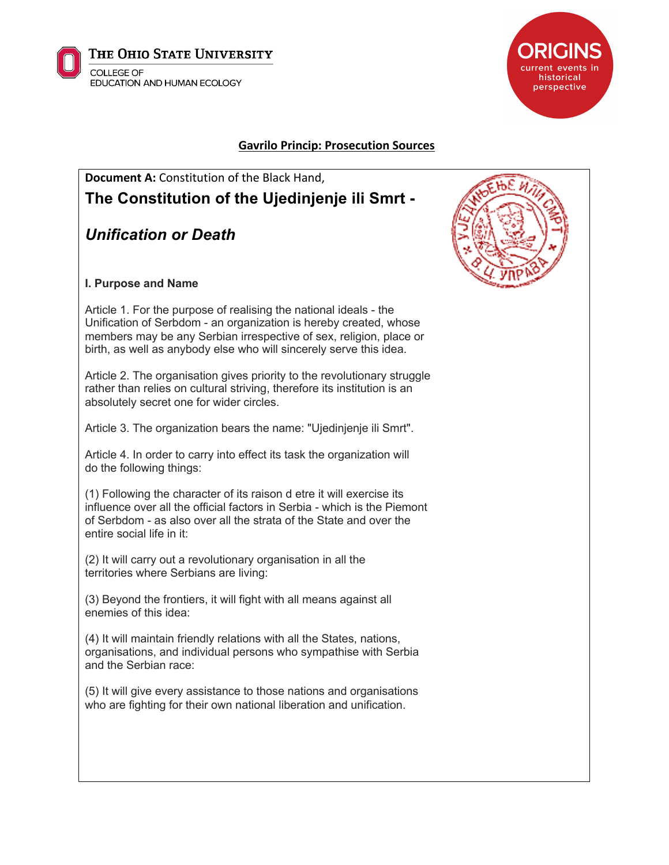



## **Gavrilo Princip: Prosecution Sources**

# **Document A:** Constitution of the Black Hand, **The Constitution of the Ujedinjenje ili Smrt -**

## *Unification or Death*

#### **I. Purpose and Name**

Article 1. For the purpose of realising the national ideals - the Unification of Serbdom - an organization is hereby created, whose members may be any Serbian irrespective of sex, religion, place or birth, as well as anybody else who will sincerely serve this idea.

Article 2. The organisation gives priority to the revolutionary struggle rather than relies on cultural striving, therefore its institution is an absolutely secret one for wider circles.

Article 3. The organization bears the name: "Ujedinjenje ili Smrt".

Article 4. In order to carry into effect its task the organization will do the following things:

(1) Following the character of its raison d etre it will exercise its influence over all the official factors in Serbia - which is the Piemont of Serbdom - as also over all the strata of the State and over the entire social life in it:

(2) It will carry out a revolutionary organisation in all the territories where Serbians are living:

(3) Beyond the frontiers, it will fight with all means against all enemies of this idea:

(4) It will maintain friendly relations with all the States, nations, organisations, and individual persons who sympathise with Serbia and the Serbian race:

(5) It will give every assistance to those nations and organisations who are fighting for their own national liberation and unification.

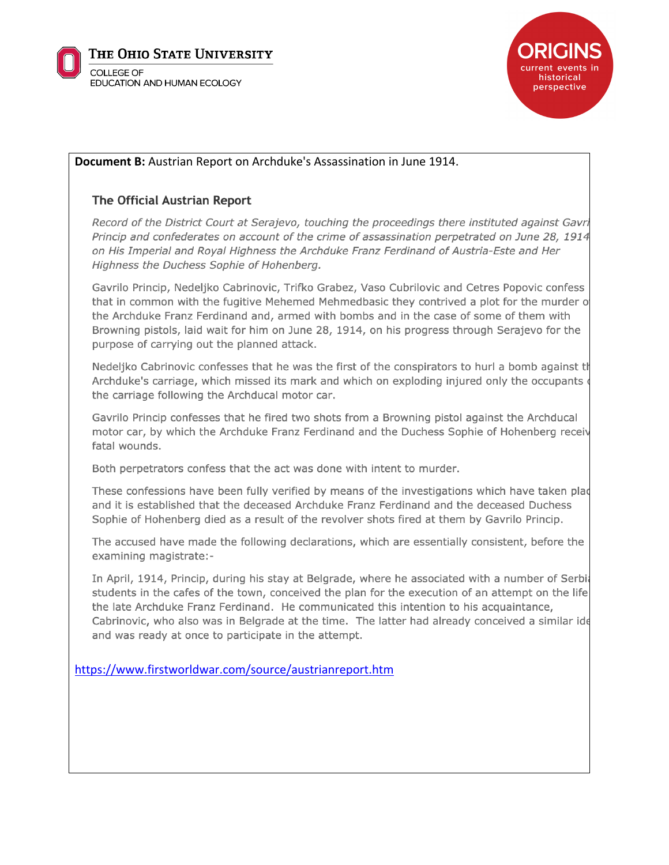



## Document B: Austrian Report on Archduke's Assassination in June 1914.

## **The Official Austrian Report**

Record of the District Court at Serajevo, touching the proceedings there instituted against Gavri Princip and confederates on account of the crime of assassination perpetrated on June 28, 1914 on His Imperial and Royal Highness the Archduke Franz Ferdinand of Austria-Este and Her Highness the Duchess Sophie of Hohenberg.

Gavrilo Princip, Nedeljko Cabrinovic, Trifko Grabez, Vaso Cubrilovic and Cetres Popovic confess that in common with the fugitive Mehemed Mehmedbasic they contrived a plot for the murder of the Archduke Franz Ferdinand and, armed with bombs and in the case of some of them with Browning pistols, laid wait for him on June 28, 1914, on his progress through Serajevo for the purpose of carrying out the planned attack.

Nedeljko Cabrinovic confesses that he was the first of the conspirators to hurl a bomb against the Archduke's carriage, which missed its mark and which on exploding injured only the occupants of the carriage following the Archducal motor car.

Gavrilo Princip confesses that he fired two shots from a Browning pistol against the Archducal motor car, by which the Archduke Franz Ferdinand and the Duchess Sophie of Hohenberg receiv fatal wounds.

Both perpetrators confess that the act was done with intent to murder.

These confessions have been fully verified by means of the investigations which have taken plad and it is established that the deceased Archduke Franz Ferdinand and the deceased Duchess Sophie of Hohenberg died as a result of the revolver shots fired at them by Gavrilo Princip.

The accused have made the following declarations, which are essentially consistent, before the examining magistrate:-

In April, 1914, Princip, during his stay at Belgrade, where he associated with a number of Serbia students in the cafes of the town, conceived the plan for the execution of an attempt on the life the late Archduke Franz Ferdinand. He communicated this intention to his acquaintance, Cabrinovic, who also was in Belgrade at the time. The latter had already conceived a similar ide and was ready at once to participate in the attempt.

https://www.firstworldwar.com/source/austrianreport.htm